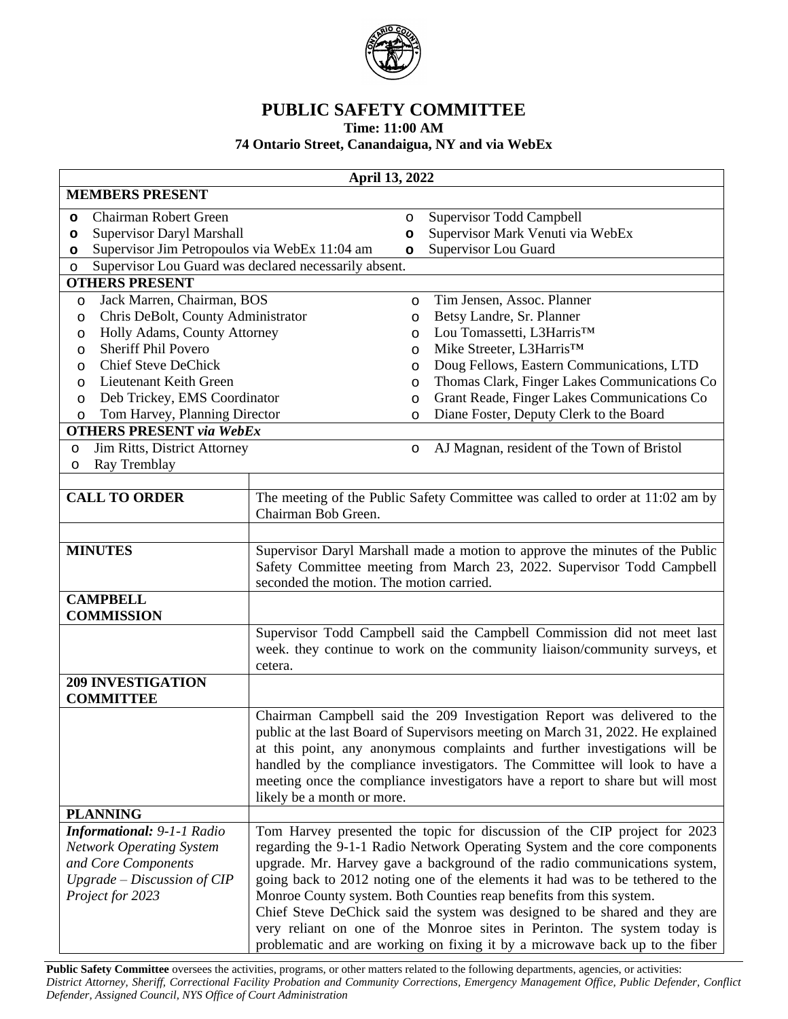

## **PUBLIC SAFETY COMMITTEE**

**Time: 11:00 AM**

## **74 Ontario Street, Canandaigua, NY and via WebEx**

| April 13, 2022                                                                |                                                                                |                    |                                                                                                                                                          |  |
|-------------------------------------------------------------------------------|--------------------------------------------------------------------------------|--------------------|----------------------------------------------------------------------------------------------------------------------------------------------------------|--|
| <b>MEMBERS PRESENT</b>                                                        |                                                                                |                    |                                                                                                                                                          |  |
| Chairman Robert Green<br>$\circ$                                              |                                                                                | $\circ$            | Supervisor Todd Campbell                                                                                                                                 |  |
| <b>Supervisor Daryl Marshall</b><br>$\circ$                                   |                                                                                | $\circ$            | Supervisor Mark Venuti via WebEx                                                                                                                         |  |
| Supervisor Jim Petropoulos via WebEx 11:04 am<br>$\circ$                      |                                                                                | $\circ$            | Supervisor Lou Guard                                                                                                                                     |  |
| Supervisor Lou Guard was declared necessarily absent.<br>$\circ$              |                                                                                |                    |                                                                                                                                                          |  |
| <b>OTHERS PRESENT</b>                                                         |                                                                                |                    |                                                                                                                                                          |  |
| Jack Marren, Chairman, BOS<br>$\circ$                                         |                                                                                | $\circ$            | Tim Jensen, Assoc. Planner<br>Betsy Landre, Sr. Planner                                                                                                  |  |
| Chris DeBolt, County Administrator<br>$\circ$<br>Holly Adams, County Attorney |                                                                                | $\circ$<br>$\circ$ | Lou Tomassetti, L3Harris™                                                                                                                                |  |
| O<br><b>Sheriff Phil Povero</b><br>O                                          |                                                                                | $\circ$            | Mike Streeter, L3Harris™                                                                                                                                 |  |
| <b>Chief Steve DeChick</b><br>O                                               |                                                                                | O                  | Doug Fellows, Eastern Communications, LTD                                                                                                                |  |
| Lieutenant Keith Green<br>O                                                   |                                                                                | $\circ$            | Thomas Clark, Finger Lakes Communications Co                                                                                                             |  |
| Deb Trickey, EMS Coordinator<br>$\circ$                                       |                                                                                | $\circ$            | Grant Reade, Finger Lakes Communications Co                                                                                                              |  |
| Tom Harvey, Planning Director<br>$\circ$                                      |                                                                                | $\circ$            | Diane Foster, Deputy Clerk to the Board                                                                                                                  |  |
| <b>OTHERS PRESENT via WebEx</b>                                               |                                                                                |                    |                                                                                                                                                          |  |
| Jim Ritts, District Attorney<br>$\circ$                                       |                                                                                | O                  | AJ Magnan, resident of the Town of Bristol                                                                                                               |  |
| Ray Tremblay<br>O                                                             |                                                                                |                    |                                                                                                                                                          |  |
|                                                                               |                                                                                |                    |                                                                                                                                                          |  |
| <b>CALL TO ORDER</b>                                                          | Chairman Bob Green.                                                            |                    | The meeting of the Public Safety Committee was called to order at 11:02 am by                                                                            |  |
|                                                                               |                                                                                |                    |                                                                                                                                                          |  |
| <b>MINUTES</b>                                                                |                                                                                |                    | Supervisor Daryl Marshall made a motion to approve the minutes of the Public                                                                             |  |
|                                                                               |                                                                                |                    | Safety Committee meeting from March 23, 2022. Supervisor Todd Campbell                                                                                   |  |
|                                                                               | seconded the motion. The motion carried.                                       |                    |                                                                                                                                                          |  |
| <b>CAMPBELL</b>                                                               |                                                                                |                    |                                                                                                                                                          |  |
| <b>COMMISSION</b>                                                             |                                                                                |                    |                                                                                                                                                          |  |
|                                                                               |                                                                                |                    | Supervisor Todd Campbell said the Campbell Commission did not meet last                                                                                  |  |
|                                                                               |                                                                                |                    | week. they continue to work on the community liaison/community surveys, et                                                                               |  |
|                                                                               | cetera.                                                                        |                    |                                                                                                                                                          |  |
| <b>209 INVESTIGATION</b>                                                      |                                                                                |                    |                                                                                                                                                          |  |
| <b>COMMITTEE</b>                                                              |                                                                                |                    |                                                                                                                                                          |  |
|                                                                               |                                                                                |                    | Chairman Campbell said the 209 Investigation Report was delivered to the                                                                                 |  |
|                                                                               |                                                                                |                    | public at the last Board of Supervisors meeting on March 31, 2022. He explained                                                                          |  |
|                                                                               |                                                                                |                    | at this point, any anonymous complaints and further investigations will be<br>handled by the compliance investigators. The Committee will look to have a |  |
|                                                                               |                                                                                |                    | meeting once the compliance investigators have a report to share but will most                                                                           |  |
|                                                                               | likely be a month or more.                                                     |                    |                                                                                                                                                          |  |
| <b>PLANNING</b>                                                               |                                                                                |                    |                                                                                                                                                          |  |
| Informational: 9-1-1 Radio                                                    |                                                                                |                    | Tom Harvey presented the topic for discussion of the CIP project for 2023                                                                                |  |
| <b>Network Operating System</b>                                               | regarding the 9-1-1 Radio Network Operating System and the core components     |                    |                                                                                                                                                          |  |
| and Core Components                                                           | upgrade. Mr. Harvey gave a background of the radio communications system,      |                    |                                                                                                                                                          |  |
| $Upgrade-Discussion$ of $CIP$                                                 | going back to 2012 noting one of the elements it had was to be tethered to the |                    |                                                                                                                                                          |  |
| Project for 2023                                                              | Monroe County system. Both Counties reap benefits from this system.            |                    |                                                                                                                                                          |  |
| Chief Steve DeChick said the system was designed to be shared and they are    |                                                                                |                    |                                                                                                                                                          |  |
|                                                                               |                                                                                |                    | very reliant on one of the Monroe sites in Perinton. The system today is                                                                                 |  |
|                                                                               |                                                                                |                    | problematic and are working on fixing it by a microwave back up to the fiber                                                                             |  |

Public Safety Committee oversees the activities, programs, or other matters related to the following departments, agencies, or activities: District Attorney, Sheriff, Correctional Facility Probation and Community Corrections, Emergency Management Office, Public Defender, Conflict *Defender, Assigned Council, NYS Office of Court Administration*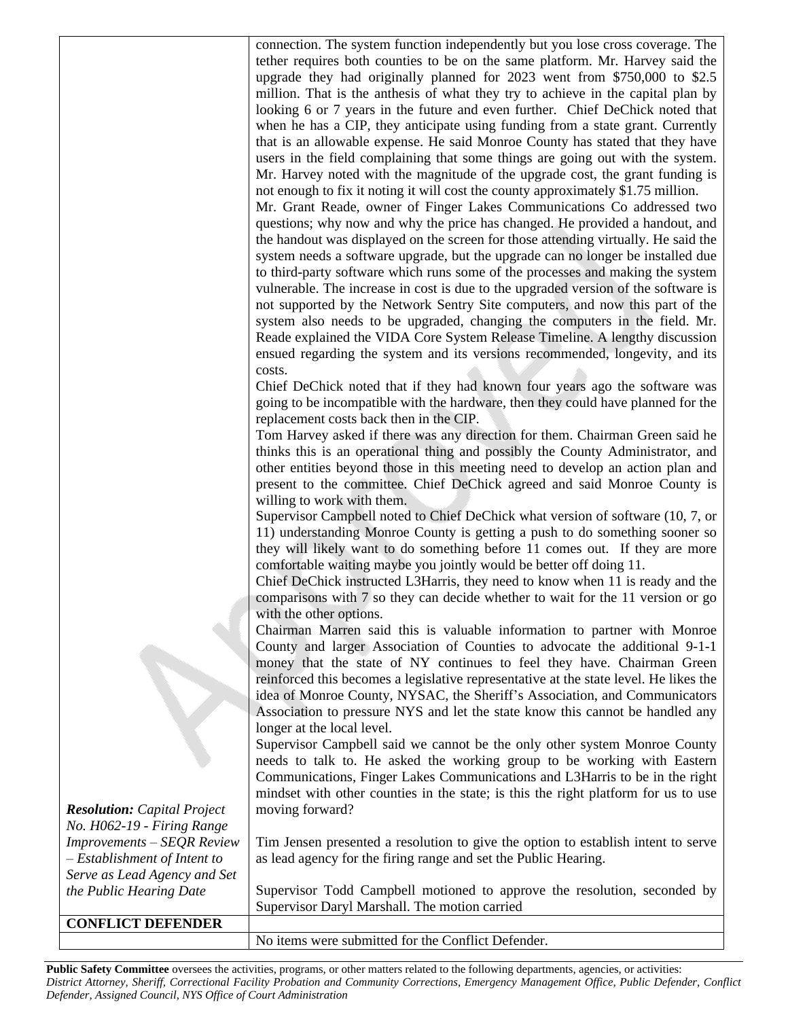connection. The system function independently but you lose cross coverage. The tether requires both counties to be on the same platform. Mr. Harvey said the upgrade they had originally planned for 2023 went from \$750,000 to \$2.5 million. That is the anthesis of what they try to achieve in the capital plan by looking 6 or 7 years in the future and even further. Chief DeChick noted that when he has a CIP, they anticipate using funding from a state grant. Currently that is an allowable expense. He said Monroe County has stated that they have users in the field complaining that some things are going out with the system. Mr. Harvey noted with the magnitude of the upgrade cost, the grant funding is not enough to fix it noting it will cost the county approximately \$1.75 million.

Mr. Grant Reade, owner of Finger Lakes Communications Co addressed two questions; why now and why the price has changed. He provided a handout, and the handout was displayed on the screen for those attending virtually. He said the system needs a software upgrade, but the upgrade can no longer be installed due to third-party software which runs some of the processes and making the system vulnerable. The increase in cost is due to the upgraded version of the software is not supported by the Network Sentry Site computers, and now this part of the system also needs to be upgraded, changing the computers in the field. Mr. Reade explained the VIDA Core System Release Timeline. A lengthy discussion ensued regarding the system and its versions recommended, longevity, and its costs.

Chief DeChick noted that if they had known four years ago the software was going to be incompatible with the hardware, then they could have planned for the replacement costs back then in the CIP.

Tom Harvey asked if there was any direction for them. Chairman Green said he thinks this is an operational thing and possibly the County Administrator, and other entities beyond those in this meeting need to develop an action plan and present to the committee. Chief DeChick agreed and said Monroe County is willing to work with them.

Supervisor Campbell noted to Chief DeChick what version of software (10, 7, or 11) understanding Monroe County is getting a push to do something sooner so they will likely want to do something before 11 comes out. If they are more comfortable waiting maybe you jointly would be better off doing 11.

Chief DeChick instructed L3Harris, they need to know when 11 is ready and the comparisons with 7 so they can decide whether to wait for the 11 version or go with the other options.

Chairman Marren said this is valuable information to partner with Monroe County and larger Association of Counties to advocate the additional 9-1-1 money that the state of NY continues to feel they have. Chairman Green reinforced this becomes a legislative representative at the state level. He likes the idea of Monroe County, NYSAC, the Sheriff's Association, and Communicators Association to pressure NYS and let the state know this cannot be handled any longer at the local level.

Supervisor Campbell said we cannot be the only other system Monroe County needs to talk to. He asked the working group to be working with Eastern Communications, Finger Lakes Communications and L3Harris to be in the right mindset with other counties in the state; is this the right platform for us to use moving forward?

Tim Jensen presented a resolution to give the option to establish intent to serve as lead agency for the firing range and set the Public Hearing.

Supervisor Todd Campbell motioned to approve the resolution, seconded by Supervisor Daryl Marshall. The motion carried

No items were submitted for the Conflict Defender.

Public Safety Committee oversees the activities, programs, or other matters related to the following departments, agencies, or activities: District Attorney, Sheriff, Correctional Facility Probation and Community Corrections, Emergency Management Office, Public Defender, Conflict *Defender, Assigned Council, NYS Office of Court Administration*

*Resolution: Capital Project No. H062-19 - Firing Range Improvements – SEQR Review – Establishment of Intent to Serve as Lead Agency and Set the Public Hearing Date*

**CONFLICT DEFENDER**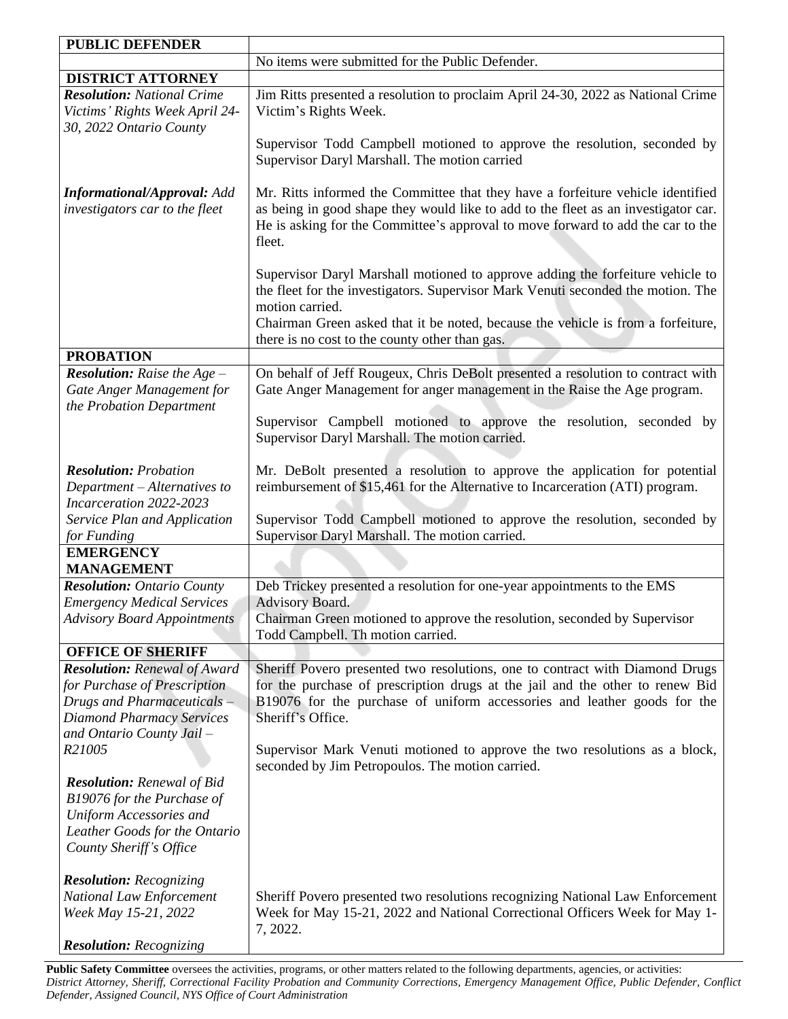| <b>PUBLIC DEFENDER</b>                                                                                                                                                |                                                                                                                                                                                                                                                                                                                             |  |
|-----------------------------------------------------------------------------------------------------------------------------------------------------------------------|-----------------------------------------------------------------------------------------------------------------------------------------------------------------------------------------------------------------------------------------------------------------------------------------------------------------------------|--|
|                                                                                                                                                                       | No items were submitted for the Public Defender.                                                                                                                                                                                                                                                                            |  |
| <b>DISTRICT ATTORNEY</b>                                                                                                                                              |                                                                                                                                                                                                                                                                                                                             |  |
| <b>Resolution:</b> National Crime<br>Victims' Rights Week April 24-<br>30, 2022 Ontario County                                                                        | Jim Ritts presented a resolution to proclaim April 24-30, 2022 as National Crime<br>Victim's Rights Week.                                                                                                                                                                                                                   |  |
|                                                                                                                                                                       | Supervisor Todd Campbell motioned to approve the resolution, seconded by<br>Supervisor Daryl Marshall. The motion carried                                                                                                                                                                                                   |  |
| <b>Informational/Approval: Add</b><br>investigators car to the fleet                                                                                                  | Mr. Ritts informed the Committee that they have a forfeiture vehicle identified<br>as being in good shape they would like to add to the fleet as an investigator car.<br>He is asking for the Committee's approval to move forward to add the car to the<br>fleet.                                                          |  |
|                                                                                                                                                                       | Supervisor Daryl Marshall motioned to approve adding the forfeiture vehicle to<br>the fleet for the investigators. Supervisor Mark Venuti seconded the motion. The<br>motion carried.<br>Chairman Green asked that it be noted, because the vehicle is from a forfeiture,<br>there is no cost to the county other than gas. |  |
| <b>PROBATION</b>                                                                                                                                                      |                                                                                                                                                                                                                                                                                                                             |  |
| <b>Resolution:</b> Raise the $Age -$                                                                                                                                  | On behalf of Jeff Rougeux, Chris DeBolt presented a resolution to contract with                                                                                                                                                                                                                                             |  |
| Gate Anger Management for<br>the Probation Department                                                                                                                 | Gate Anger Management for anger management in the Raise the Age program.                                                                                                                                                                                                                                                    |  |
|                                                                                                                                                                       | Supervisor Campbell motioned to approve the resolution, seconded by<br>Supervisor Daryl Marshall. The motion carried.                                                                                                                                                                                                       |  |
| <b>Resolution: Probation</b>                                                                                                                                          | Mr. DeBolt presented a resolution to approve the application for potential                                                                                                                                                                                                                                                  |  |
| Department - Alternatives to<br>Incarceration 2022-2023                                                                                                               | reimbursement of \$15,461 for the Alternative to Incarceration (ATI) program.                                                                                                                                                                                                                                               |  |
| Service Plan and Application<br>for Funding                                                                                                                           | Supervisor Todd Campbell motioned to approve the resolution, seconded by<br>Supervisor Daryl Marshall. The motion carried.                                                                                                                                                                                                  |  |
| <b>EMERGENCY</b>                                                                                                                                                      |                                                                                                                                                                                                                                                                                                                             |  |
| <b>MANAGEMENT</b>                                                                                                                                                     |                                                                                                                                                                                                                                                                                                                             |  |
| <b>Resolution:</b> Ontario County                                                                                                                                     | Deb Trickey presented a resolution for one-year appointments to the EMS                                                                                                                                                                                                                                                     |  |
| <b>Emergency Medical Services</b>                                                                                                                                     | Advisory Board.                                                                                                                                                                                                                                                                                                             |  |
| <b>Advisory Board Appointments</b>                                                                                                                                    | Chairman Green motioned to approve the resolution, seconded by Supervisor<br>Todd Campbell. Th motion carried.                                                                                                                                                                                                              |  |
| <b>OFFICE OF SHERIFF</b>                                                                                                                                              |                                                                                                                                                                                                                                                                                                                             |  |
| <b>Resolution:</b> Renewal of Award<br>for Purchase of Prescription<br>Drugs and Pharmaceuticals $-$<br><b>Diamond Pharmacy Services</b><br>and Ontario County Jail - | Sheriff Povero presented two resolutions, one to contract with Diamond Drugs<br>for the purchase of prescription drugs at the jail and the other to renew Bid<br>B19076 for the purchase of uniform accessories and leather goods for the<br>Sheriff's Office.                                                              |  |
| R21005                                                                                                                                                                | Supervisor Mark Venuti motioned to approve the two resolutions as a block,<br>seconded by Jim Petropoulos. The motion carried.                                                                                                                                                                                              |  |
| <b>Resolution:</b> Renewal of Bid<br>B19076 for the Purchase of<br>Uniform Accessories and<br>Leather Goods for the Ontario<br>County Sheriff's Office                |                                                                                                                                                                                                                                                                                                                             |  |
| <b>Resolution:</b> Recognizing<br>National Law Enforcement<br>Week May 15-21, 2022<br><b>Resolution:</b> Recognizing                                                  | Sheriff Povero presented two resolutions recognizing National Law Enforcement<br>Week for May 15-21, 2022 and National Correctional Officers Week for May 1-<br>7, 2022.                                                                                                                                                    |  |

Public Safety Committee oversees the activities, programs, or other matters related to the following departments, agencies, or activities: District Attorney, Sheriff, Correctional Facility Probation and Community Corrections, Emergency Management Office, Public Defender, Conflict *Defender, Assigned Council, NYS Office of Court Administration*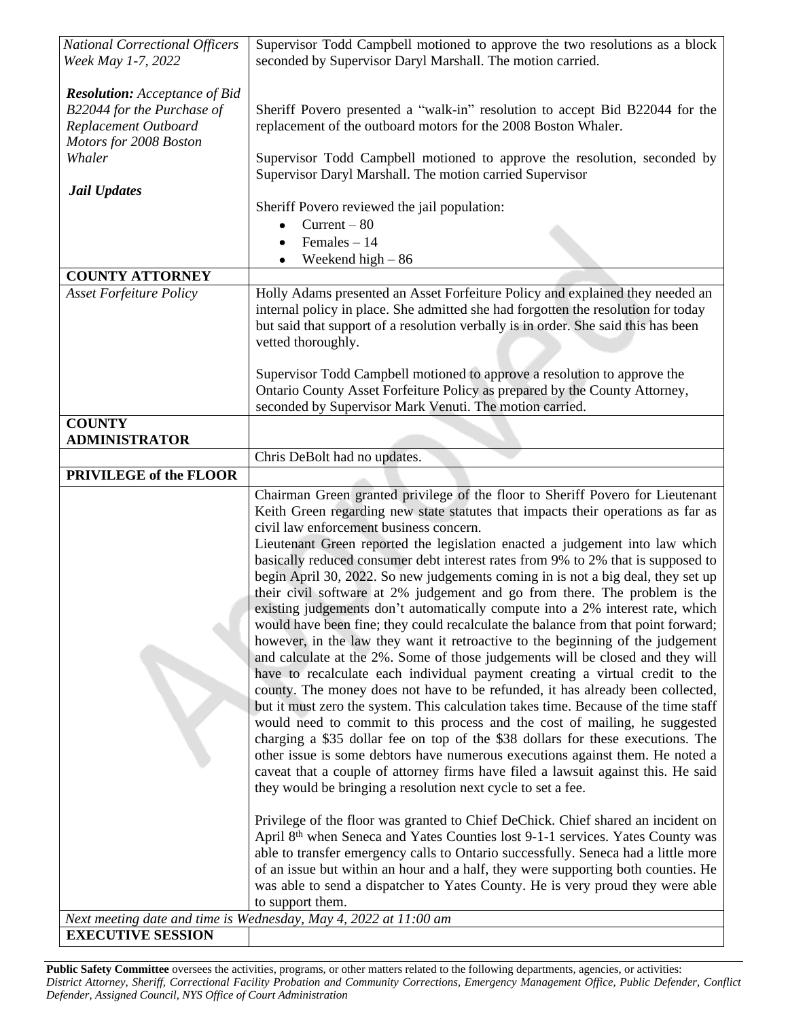| <b>National Correctional Officers</b>                                                                                | Supervisor Todd Campbell motioned to approve the two resolutions as a block                                                                                                                                                                                                                                                                                                                                                                                                                                                                                                                                                                                                                                                                                                                                                                                                                                                                                                                                                                                                                                                                                                                                                                                                                                                                                                                                                                                                                                                                                                                                                                        |
|----------------------------------------------------------------------------------------------------------------------|----------------------------------------------------------------------------------------------------------------------------------------------------------------------------------------------------------------------------------------------------------------------------------------------------------------------------------------------------------------------------------------------------------------------------------------------------------------------------------------------------------------------------------------------------------------------------------------------------------------------------------------------------------------------------------------------------------------------------------------------------------------------------------------------------------------------------------------------------------------------------------------------------------------------------------------------------------------------------------------------------------------------------------------------------------------------------------------------------------------------------------------------------------------------------------------------------------------------------------------------------------------------------------------------------------------------------------------------------------------------------------------------------------------------------------------------------------------------------------------------------------------------------------------------------------------------------------------------------------------------------------------------------|
| Week May 1-7, 2022                                                                                                   | seconded by Supervisor Daryl Marshall. The motion carried.                                                                                                                                                                                                                                                                                                                                                                                                                                                                                                                                                                                                                                                                                                                                                                                                                                                                                                                                                                                                                                                                                                                                                                                                                                                                                                                                                                                                                                                                                                                                                                                         |
| <b>Resolution:</b> Acceptance of Bid<br>B22044 for the Purchase of<br>Replacement Outboard<br>Motors for 2008 Boston | Sheriff Povero presented a "walk-in" resolution to accept Bid B22044 for the<br>replacement of the outboard motors for the 2008 Boston Whaler.                                                                                                                                                                                                                                                                                                                                                                                                                                                                                                                                                                                                                                                                                                                                                                                                                                                                                                                                                                                                                                                                                                                                                                                                                                                                                                                                                                                                                                                                                                     |
| Whaler                                                                                                               | Supervisor Todd Campbell motioned to approve the resolution, seconded by<br>Supervisor Daryl Marshall. The motion carried Supervisor                                                                                                                                                                                                                                                                                                                                                                                                                                                                                                                                                                                                                                                                                                                                                                                                                                                                                                                                                                                                                                                                                                                                                                                                                                                                                                                                                                                                                                                                                                               |
| <b>Jail Updates</b>                                                                                                  | Sheriff Povero reviewed the jail population:                                                                                                                                                                                                                                                                                                                                                                                                                                                                                                                                                                                                                                                                                                                                                                                                                                                                                                                                                                                                                                                                                                                                                                                                                                                                                                                                                                                                                                                                                                                                                                                                       |
|                                                                                                                      | $Current - 80$<br>$\bullet$                                                                                                                                                                                                                                                                                                                                                                                                                                                                                                                                                                                                                                                                                                                                                                                                                                                                                                                                                                                                                                                                                                                                                                                                                                                                                                                                                                                                                                                                                                                                                                                                                        |
|                                                                                                                      | Females $-14$                                                                                                                                                                                                                                                                                                                                                                                                                                                                                                                                                                                                                                                                                                                                                                                                                                                                                                                                                                                                                                                                                                                                                                                                                                                                                                                                                                                                                                                                                                                                                                                                                                      |
|                                                                                                                      | Weekend high $-86$                                                                                                                                                                                                                                                                                                                                                                                                                                                                                                                                                                                                                                                                                                                                                                                                                                                                                                                                                                                                                                                                                                                                                                                                                                                                                                                                                                                                                                                                                                                                                                                                                                 |
| <b>COUNTY ATTORNEY</b>                                                                                               |                                                                                                                                                                                                                                                                                                                                                                                                                                                                                                                                                                                                                                                                                                                                                                                                                                                                                                                                                                                                                                                                                                                                                                                                                                                                                                                                                                                                                                                                                                                                                                                                                                                    |
| <b>Asset Forfeiture Policy</b>                                                                                       | Holly Adams presented an Asset Forfeiture Policy and explained they needed an<br>internal policy in place. She admitted she had forgotten the resolution for today<br>but said that support of a resolution verbally is in order. She said this has been<br>vetted thoroughly.                                                                                                                                                                                                                                                                                                                                                                                                                                                                                                                                                                                                                                                                                                                                                                                                                                                                                                                                                                                                                                                                                                                                                                                                                                                                                                                                                                     |
|                                                                                                                      | Supervisor Todd Campbell motioned to approve a resolution to approve the<br>Ontario County Asset Forfeiture Policy as prepared by the County Attorney,<br>seconded by Supervisor Mark Venuti. The motion carried.                                                                                                                                                                                                                                                                                                                                                                                                                                                                                                                                                                                                                                                                                                                                                                                                                                                                                                                                                                                                                                                                                                                                                                                                                                                                                                                                                                                                                                  |
| <b>COUNTY</b>                                                                                                        |                                                                                                                                                                                                                                                                                                                                                                                                                                                                                                                                                                                                                                                                                                                                                                                                                                                                                                                                                                                                                                                                                                                                                                                                                                                                                                                                                                                                                                                                                                                                                                                                                                                    |
| <b>ADMINISTRATOR</b>                                                                                                 |                                                                                                                                                                                                                                                                                                                                                                                                                                                                                                                                                                                                                                                                                                                                                                                                                                                                                                                                                                                                                                                                                                                                                                                                                                                                                                                                                                                                                                                                                                                                                                                                                                                    |
| PRIVILEGE of the FLOOR                                                                                               | Chris DeBolt had no updates.                                                                                                                                                                                                                                                                                                                                                                                                                                                                                                                                                                                                                                                                                                                                                                                                                                                                                                                                                                                                                                                                                                                                                                                                                                                                                                                                                                                                                                                                                                                                                                                                                       |
|                                                                                                                      | Chairman Green granted privilege of the floor to Sheriff Povero for Lieutenant<br>Keith Green regarding new state statutes that impacts their operations as far as<br>civil law enforcement business concern.<br>Lieutenant Green reported the legislation enacted a judgement into law which<br>basically reduced consumer debt interest rates from 9% to 2% that is supposed to<br>begin April 30, 2022. So new judgements coming in is not a big deal, they set up<br>their civil software at 2% judgement and go from there. The problem is the<br>existing judgements don't automatically compute into a 2% interest rate, which<br>would have been fine; they could recalculate the balance from that point forward;<br>however, in the law they want it retroactive to the beginning of the judgement<br>and calculate at the 2%. Some of those judgements will be closed and they will<br>have to recalculate each individual payment creating a virtual credit to the<br>county. The money does not have to be refunded, it has already been collected,<br>but it must zero the system. This calculation takes time. Because of the time staff<br>would need to commit to this process and the cost of mailing, he suggested<br>charging a \$35 dollar fee on top of the \$38 dollars for these executions. The<br>other issue is some debtors have numerous executions against them. He noted a<br>caveat that a couple of attorney firms have filed a lawsuit against this. He said<br>they would be bringing a resolution next cycle to set a fee.<br>Privilege of the floor was granted to Chief DeChick. Chief shared an incident on |
|                                                                                                                      | April 8th when Seneca and Yates Counties lost 9-1-1 services. Yates County was<br>able to transfer emergency calls to Ontario successfully. Seneca had a little more<br>of an issue but within an hour and a half, they were supporting both counties. He<br>was able to send a dispatcher to Yates County. He is very proud they were able                                                                                                                                                                                                                                                                                                                                                                                                                                                                                                                                                                                                                                                                                                                                                                                                                                                                                                                                                                                                                                                                                                                                                                                                                                                                                                        |
|                                                                                                                      | to support them.                                                                                                                                                                                                                                                                                                                                                                                                                                                                                                                                                                                                                                                                                                                                                                                                                                                                                                                                                                                                                                                                                                                                                                                                                                                                                                                                                                                                                                                                                                                                                                                                                                   |
| <b>EXECUTIVE SESSION</b>                                                                                             | Next meeting date and time is Wednesday, May 4, 2022 at 11:00 am                                                                                                                                                                                                                                                                                                                                                                                                                                                                                                                                                                                                                                                                                                                                                                                                                                                                                                                                                                                                                                                                                                                                                                                                                                                                                                                                                                                                                                                                                                                                                                                   |

Public Safety Committee oversees the activities, programs, or other matters related to the following departments, agencies, or activities: District Attorney, Sheriff, Correctional Facility Probation and Community Corrections, Emergency Management Office, Public Defender, Conflict *Defender, Assigned Council, NYS Office of Court Administration*